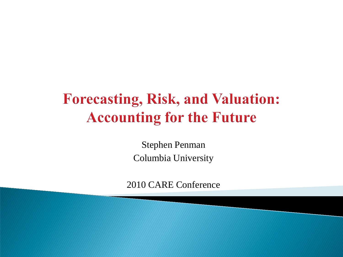## **Forecasting, Risk, and Valuation: Accounting for the Future**

Stephen Penman Columbia University

2010 CARE Conference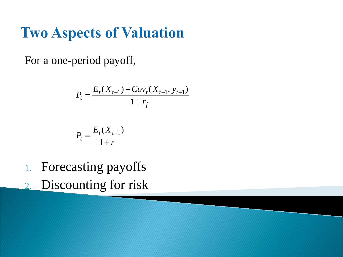#### **Two Aspects of Valuation**

For a one-period payoff,

$$
P_{t} = \frac{E_{t}(X_{t+1}) - Cov_{t}(X_{t+1}, y_{t+1})}{1 + r_{f}}
$$

$$
P_t = \frac{E_t(X_{t+1})}{1+r}
$$

- 1. Forecasting payoffs
- 2. Discounting for risk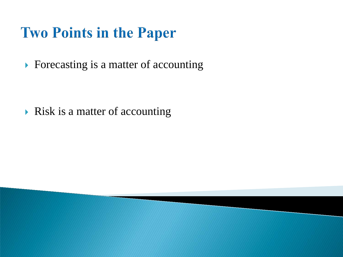# **Two Points in the Paper**

▶ Forecasting is a matter of accounting

 $\triangleright$  Risk is a matter of accounting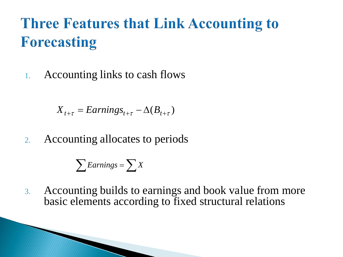# **Three Features that Link Accounting to Forecasting**

1. Accounting links to cash flows

$$
X_{t+\tau} = EarningS_{t+\tau} - \Delta(B_{t+\tau})
$$

2. Accounting allocates to periods

$$
\sum Earnings = \sum X
$$

3. Accounting builds to earnings and book value from more basic elements according to fixed structural relations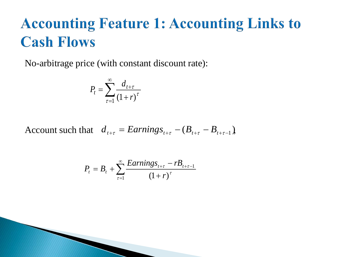## **Accounting Feature 1: Accounting Links to Cash Flows**

No-arbitrage price (with constant discount rate):

$$
P_t = \sum_{\tau=1}^{\infty} \frac{d_{t+\tau}}{(1+r)^{\tau}}
$$

Account such that  $d_{t+\tau} = Earnings_{t+\tau} - (B_{t+\tau} - B_{t+\tau-1})$ ,

$$
P_{t} = B_{t} + \sum_{\tau=1}^{\infty} \frac{Earning_{t+\tau} - rB_{t+\tau-1}}{(1+r)^{\tau}}
$$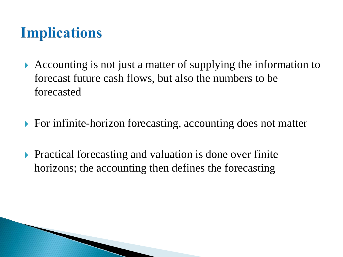# **Implications**

- Accounting is not just a matter of supplying the information to forecast future cash flows, but also the numbers to be forecasted
- ▶ For infinite-horizon forecasting, accounting does not matter
- **Practical forecasting and valuation is done over finite** horizons; the accounting then defines the forecasting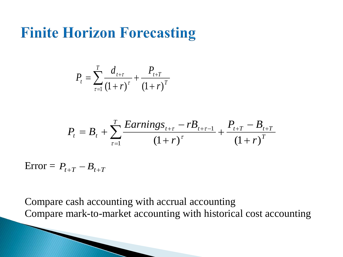#### **Finite Horizon Forecasting**

$$
P_{t} = \sum_{\tau=1}^{T} \frac{d_{t+\tau}}{(1+r)^{\tau}} + \frac{P_{t+T}}{(1+r)^{T}}
$$

$$
P_{t} = B_{t} + \sum_{\tau=1}^{T} \frac{Earning_{t+\tau} - rB_{t+\tau-1}}{(1+r)^{\tau}} + \frac{P_{t+T} - B_{t+T}}{(1+r)^{T}}
$$

 $\text{Error} = P_{t+T} - B_{t+T}$ 

Compare cash accounting with accrual accounting Compare mark-to-market accounting with historical cost accounting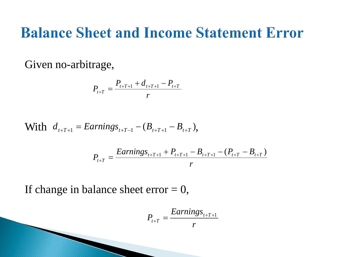#### **Balance Sheet and Income Statement Error**

Given no-arbitrage,

$$
P_{t+T} = \frac{P_{t+T+1} + d_{t+T+1} - P_{t+T}}{r}
$$

With 
$$
d_{t+T+1} = Earnings_{t+T-1} - (B_{t+T+1} - B_{t+T}),
$$

$$
P_{t+T} = \frac{Earnings_{t+T+1} + P_{t+T+1} - B_{t+T+1} - (P_{t+T} - B_{t+T})}{r}
$$

If change in balance sheet error  $= 0$ ,

$$
P_{t+T} = \frac{Earnings_{t+T+1}}{r}
$$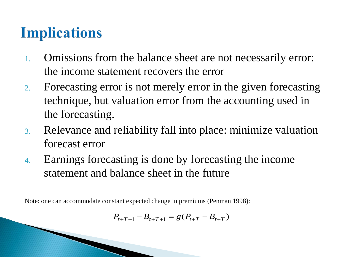# **Implications**

- 1. Omissions from the balance sheet are not necessarily error: the income statement recovers the error
- 2. Forecasting error is not merely error in the given forecasting technique, but valuation error from the accounting used in the forecasting.
- 3. Relevance and reliability fall into place: minimize valuation forecast error
- 4. Earnings forecasting is done by forecasting the income statement and balance sheet in the future

Note: one can accommodate constant expected change in premiums (Penman 1998):

$$
P_{t+T+1} - B_{t+T+1} = g(P_{t+T} - B_{t+T})
$$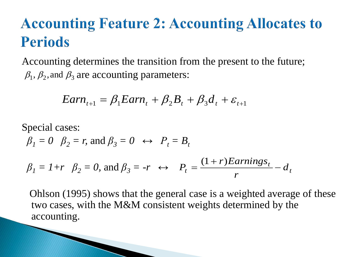# **Accounting Feature 2: Accounting Allocates to Periods**

Accounting determines the transition from the present to the future;  $\beta_1$ ,  $\beta_2$ , and  $\beta_3$  are accounting parameters:

$$
Earn_{t+1} = \beta_1 Earn_t + \beta_2 B_t + \beta_3 d_t + \varepsilon_{t+1}
$$

Special cases:  
\n
$$
\beta_1 = 0
$$
  $\beta_2 = r$ , and  $\beta_3 = 0 \leftrightarrow P_t = B_t$   
\n $\beta_1 = 1 + r$   $\beta_2 = 0$ , and  $\beta_3 = -r \leftrightarrow P_t = \frac{(1+r)Earnings_t}{r} - d_t$ 

Ohlson (1995) shows that the general case is a weighted average of these two cases, with the M&M consistent weights determined by the accounting.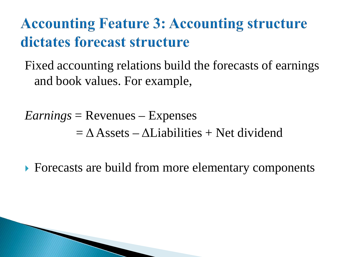# **Accounting Feature 3: Accounting structure** dictates forecast structure

Fixed accounting relations build the forecasts of earnings and book values. For example,

*Earnings* = Revenues – Expenses  $=\Delta$  Assets –  $\Delta$ Liabilities + Net dividend

▶ Forecasts are build from more elementary components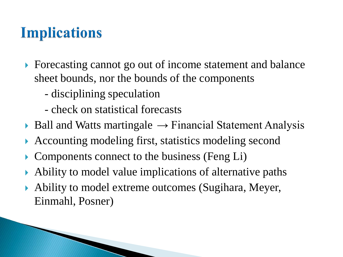# **Implications**

- Forecasting cannot go out of income statement and balance sheet bounds, nor the bounds of the components
	- disciplining speculation
	- check on statistical forecasts
- $\triangleright$  Ball and Watts martingale  $\rightarrow$  Financial Statement Analysis
- Accounting modeling first, statistics modeling second
- $\triangleright$  Components connect to the business (Feng Li)
- Ability to model value implications of alternative paths
- Ability to model extreme outcomes (Sugihara, Meyer, Einmahl, Posner)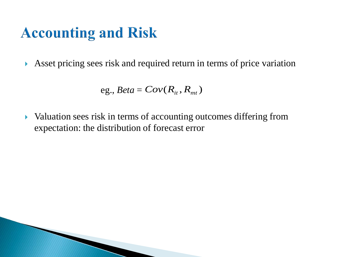# **Accounting and Risk**

Asset pricing sees risk and required return in terms of price variation

eg., 
$$
Beta = Cov(R_{it}, R_{mt})
$$

• Valuation sees risk in terms of accounting outcomes differing from expectation: the distribution of forecast error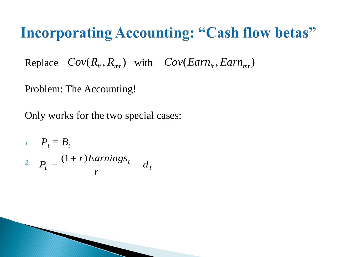#### **Incorporating Accounting: "Cash flow betas"**

Replace  $Cov(R_{it}, R_{mt})$  with  $Cov(Earn_{it}, Earn_{mt})$ 

Problem: The Accounting!

Only works for the two special cases:

1. 
$$
P_t = B_t
$$
  
\n2.  $P_t = \frac{(1+r)Earnings_t}{r} - d_t$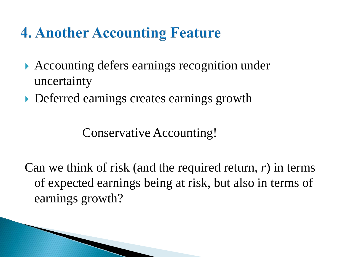# **4. Another Accounting Feature**

- ▶ Accounting defers earnings recognition under uncertainty
- ▶ Deferred earnings creates earnings growth

Conservative Accounting!

Can we think of risk (and the required return, *r*) in terms of expected earnings being at risk, but also in terms of earnings growth?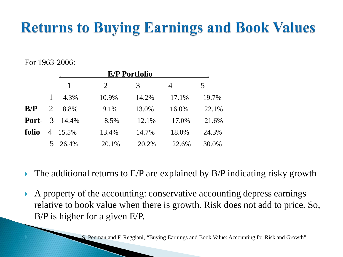# **Returns to Buying Earnings and Book Values**

#### For 1963-2006:

|       |              | <b>E/P Portfolio</b>      |       |       |       |       |
|-------|--------------|---------------------------|-------|-------|-------|-------|
|       |              |                           | 2     | 3     | 4     | 5     |
|       | $\mathbf{1}$ | 4.3%                      | 10.9% | 14.2% | 17.1% | 19.7% |
| B/P   | 2            | 8.8%                      | 9.1%  | 13.0% | 16.0% | 22.1% |
|       |              | <b>Port-</b> $3 \t14.4\%$ | 8.5%  | 12.1% | 17.0% | 21.6% |
| folio |              | 4 15.5%                   | 13.4% | 14.7% | 18.0% | 24.3% |
|       |              | 5 26.4%                   | 20.1% | 20.2% | 22.6% | 30.0% |

- $\triangleright$  The additional returns to E/P are explained by B/P indicating risky growth
- A property of the accounting: conservative accounting depress earnings relative to book value when there is growth. Risk does not add to price. So, B/P is higher for a given E/P.

S. Penman and F. Reggiani, "Buying Earnings and Book Value: Accounting for Risk and Growth"